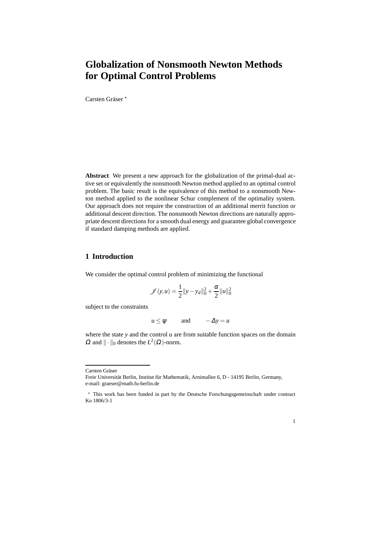# **Globalization of Nonsmooth Newton Methods for Optimal Control Problems**

Carsten Gräser \*

**Abstract** We present a new approach for the globalization of the primal-dual active set or equivalently the nonsmooth Newton method applied to an optimal control problem. The basic result is the equivalence of this method to a nonsmooth Newton method applied to the nonlinear Schur complement of the optimality system. Our approach does not require the construction of an additional merrit function or additional descent direction. The nonsmooth Newton directions are naturally appropriate descent directions for a smooth dual energy and guarantee global convergence if standard damping methods are applied.

## **1 Introduction**

We consider the optimal control problem of minimizing the functional

$$
\mathscr{J}(y, u) = \frac{1}{2} ||y - y_d||_0^2 + \frac{\alpha}{2} ||u||_0^2
$$

subject to the constraints

$$
u \le \psi
$$
 and  $-\Delta y = u$ 

where the state *y* and the control *u* are from suitable function spaces on the domain  $\Omega$  and  $\|\cdot\|_0$  denotes the  $L^2(\Omega)$ -norm.

Carsten Gräser

1

Freie Universität Berlin, Institut für Mathematik, Arnimallee 6, D - 14195 Berlin, Germany, e-mail: graeser@math.fu-berlin.de

<sup>?</sup> This work has been funded in part by the Deutsche Forschungsgemeinschaft under contract Ko 1806/3-1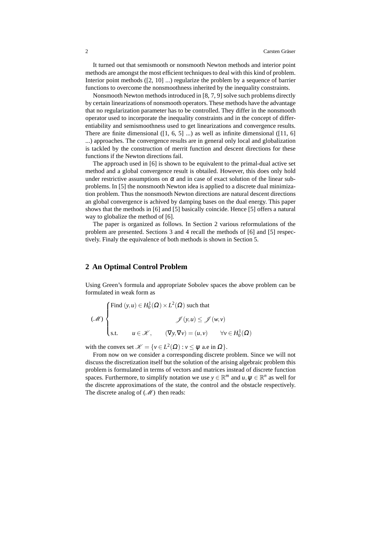It turned out that semismooth or nonsmooth Newton methods and interior point methods are amongst the most efficient techniques to deal with this kind of problem. Interior point methods ([2, 10] ...) regularize the problem by a sequence of barrier functions to overcome the nonsmoothness inherited by the inequality constraints.

Nonsmooth Newton methods introduced in [8, 7, 9] solve such problems directly by certain linearizations of nonsmooth operators. These methods have the advantage that no regularization parameter has to be controlled. They differ in the nonsmooth operator used to incorporate the inequality constraints and in the concept of differentiability and semismoothness used to get linearizations and convergence results. There are finite dimensional  $(1, 6, 5]$  ...) as well as infinite dimensional  $(11, 6]$ ...) approaches. The convergence results are in general only local and globalization is tackled by the construction of merrit function and descent directions for these functions if the Newton directions fail.

The approach used in [6] is shown to be equivalent to the primal-dual active set method and a global convergence result is obtailed. However, this does only hold under restrictive assumptions on  $\alpha$  and in case of exact solution of the linear subproblems. In [5] the nonsmooth Newton idea is applied to a discrete dual minimization problem. Thus the nonsmooth Newton directions are natural descent directions an global convergence is achived by damping bases on the dual energy. This paper shows that the methods in [6] and [5] basically coincide. Hence [5] offers a natural way to globalize the method of [6].

The paper is organized as follows. In Section 2 various reformulations of the problem are presented. Sections 3 and 4 recall the methods of [6] and [5] respectively. Finaly the equivalence of both methods is shown in Section 5.

# **2 An Optimal Control Problem**

Using Green's formula and appropriate Sobolev spaces the above problem can be formulated in weak form as

$$
(\mathcal{M})\begin{cases}\n\text{Find } (y, u) \in H_0^1(\Omega) \times L^2(\Omega) \text{ such that} \\
\mathcal{J}(y, u) \leq \mathcal{J}(w, v) \\
\text{s.t.} \qquad u \in \mathcal{K}, \qquad (\nabla y, \nabla v) = (u, v) \qquad \forall v \in H_0^1(\Omega)\n\end{cases}
$$

with the convex set  $\mathcal{K} = \{v \in L^2(\Omega) : v \leq \psi \text{ a.e in } \Omega\}.$ 

From now on we consider a corresponding discrete problem. Since we will not discuss the discretization itself but the solution of the arising algebraic problem this problem is formulated in terms of vectors and matrices instead of discrete function spaces. Furthermore, to simplify notation we use  $y \in \mathbb{R}^m$  and  $u, \psi \in \mathbb{R}^n$  as well for the discrete approximations of the state, the control and the obstacle respectively. The discrete analog of  $(\mathcal{M})$  then reads: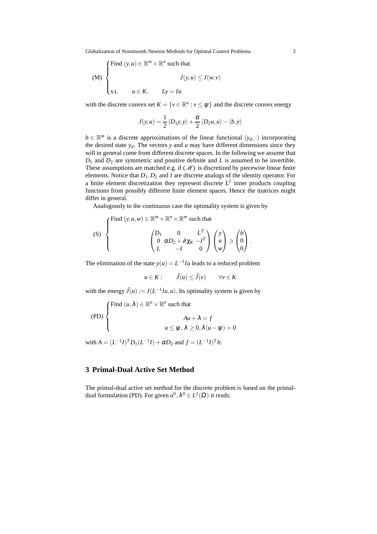Globalization of Nonsmooth Newton Methods for Optimal Control Problems 3

(M)   
\n
$$
\begin{cases}\n\text{Find } (y, u) \in \mathbb{R}^m \times \mathbb{R}^n \text{ such that} \\
J(y, u) \le J(w, v) \\
\text{s.t.} \quad u \in K, \quad Ly = Iu\n\end{cases}
$$

with the discrete convex set  $K = \{v \in \mathbb{R}^n : v \leq \psi\}$  and the discrete convex energy

$$
J(y, u) = \frac{1}{2} \langle D_1 y, y \rangle + \frac{\alpha}{2} \langle D_2 u, u \rangle - \langle b, y \rangle
$$

 $b \in \mathbb{R}^m$  is a discrete approximations of the linear functional  $(y_d, \cdot)$  incorporating the desired state  $y_d$ . The vectors *y* and *u* may have different dimensions since they will in general come from different discrete spaces. In the following we assume that *D*<sup>1</sup> and *D*<sup>2</sup> are symmetric and positive definite and *L* is assumed to be invertible. These assumptions are matched e.g. if  $(\mathcal{M})$  is discretized by piecewise linear finite elements. Notice that *D*1,*D*<sup>2</sup> and *I* are discrete analogs of the identity operator. For a finite element discretization they represent discrete  $L^2$  inner products coupling functions from possibly different finite element spaces. Hence the matrices might differ in general.

Analogously to the continuous case the optimality system is given by

(S) 
$$
\begin{cases}\n\text{Find } (y, u, w) \in \mathbb{R}^m \times \mathbb{R}^n \times \mathbb{R}^m \text{ such that} \\
\begin{pmatrix} D_1 & 0 & L^T \\ 0 & \alpha D_2 + \partial \chi_K - l^T \\ L & -I & 0 \end{pmatrix} \begin{pmatrix} y \\ u \\ w \end{pmatrix} \ni \begin{pmatrix} b \\ 0 \\ 0 \end{pmatrix}.\n\end{cases}
$$

The elimination of the state  $y(u) = L^{-1}Iu$  leads to a reduced problem

$$
u \in K: \qquad \tilde{J}(u) \leq \tilde{J}(v) \qquad \forall v \in K
$$

with the energy  $\tilde{J}(u) := J(L^{-1}Iu, u)$ . Its optimality system is given by

(PD)  
\n
$$
\begin{cases}\n\text{Find } (u, \lambda) \in \mathbb{R}^n \times \mathbb{R}^n \text{ such that} \\
\text{and } \text{Aut} + \lambda = f \\
u \le \psi, \lambda \ge 0, \lambda (u - \psi) = 0\n\end{cases}
$$

with  $A = (L^{-1}I)^T D_1 (L^{-1}I) + \alpha D_2$  and  $f = (L^{-1}I)^T b$ .

## **3 Primal-Dual Active Set Method**

The primal-dual active set method for the discrete problem is based on the primaldual formulation (PD). For given  $u^0, \lambda^0 \in L^2(\Omega)$  it reads: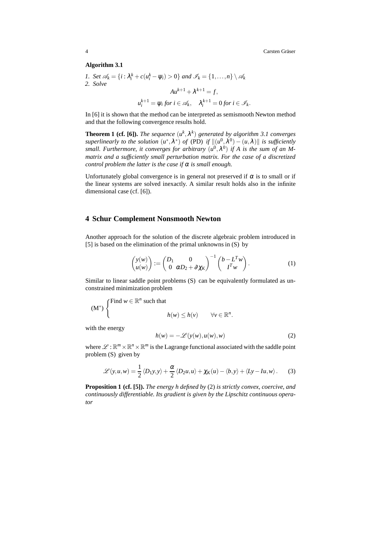#### **Algorithm 3.1**

\n- 1. Set 
$$
\mathcal{A}_k = \{i : \lambda_i^k + c(u_i^k - \psi_i) > 0\}
$$
 and  $\mathcal{I}_k = \{1, \ldots, n\} \setminus \mathcal{A}_k$
\n- 2. Solve\n 
$$
Au^{k+1} + \lambda^{k+1} = f,
$$
\n
$$
u_i^{k+1} = \psi_i \text{ for } i \in \mathcal{A}_k, \quad \lambda_i^{k+1} = 0 \text{ for } i \in \mathcal{I}_k.
$$

In [6] it is shown that the method can be interpreted as semismooth Newton method and that the following convergence results hold.

**Theorem 1 (cf. [6]).** *The sequence*  $(u^k, \lambda^k)$  generated by algorithm 3.1 converges *superlinearly to the solution*  $(u^*, \lambda^*)$  *of* (PD) *if*  $||(u^0, \lambda^0) - (u, \lambda)||$  *is sufficiently* small. Furthermore, it converges for arbitrary  $(u^0, \lambda^0)$  if A is the sum of an M*matrix and a sufficiently small perturbation matrix. For the case of a discretized control problem the latter is the case if*  $\alpha$  *is small enough.* 

Unfortunately global convergence is in general not preserved if  $\alpha$  is to small or if the linear systems are solved inexactly. A similar result holds also in the infinite dimensional case (cf. [6]).

## **4 Schur Complement Nonsmooth Newton**

Another approach for the solution of the discrete algebraic problem introduced in [5] is based on the elimination of the primal unknowns in (S) by

$$
\begin{pmatrix} y(w) \\ u(w) \end{pmatrix} := \begin{pmatrix} D_1 & 0 \\ 0 & \alpha D_2 + \partial \chi_K \end{pmatrix}^{-1} \begin{pmatrix} b - L^T w \\ I^T w \end{pmatrix}.
$$
 (1)

Similar to linear saddle point problems (S) can be equivalently formulated as unconstrained minimization problem

$$
(\mathbf{M}^*)\begin{cases}\text{Find } w \in \mathbb{R}^n \text{ such that} \\ h(w) \le h(v) \qquad \forall v \in \mathbb{R}^n.\end{cases}
$$

with the energy

$$
h(w) = -\mathcal{L}(y(w), u(w), w)
$$
 (2)

where  $\mathscr{L} : \mathbb{R}^m \times \mathbb{R}^n \times \mathbb{R}^m$  is the Lagrange functional associated with the saddle point problem (S) given by

$$
\mathcal{L}(y, u, w) = \frac{1}{2} \langle D_1 y, y \rangle + \frac{\alpha}{2} \langle D_2 u, u \rangle + \chi_K(u) - \langle b, y \rangle + \langle Ly - Iu, w \rangle.
$$
 (3)

**Proposition 1 (cf. [5]).** *The energy h defined by* (2) *is strictly convex, coercive, and continuously differentiable. Its gradient is given by the Lipschitz continuous operator*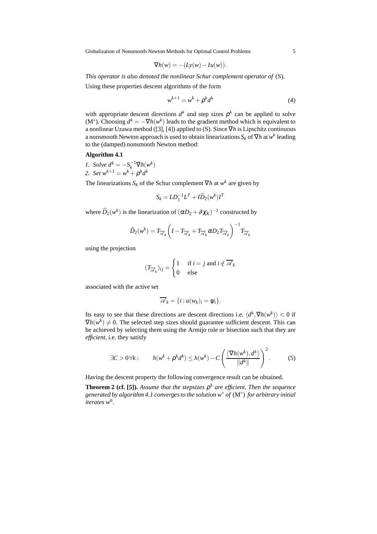Globalization of Nonsmooth Newton Methods for Optimal Control Problems 5

$$
\nabla h(w) = -(Ly(w) - Iu(w)).
$$

*This operator is also denoted the nonlinear Schur complement operator of* (S)*.*

Using these properties descent algorithms of the form

$$
w^{k+1} = w^k + \rho^k d^k \tag{4}
$$

with appropriate descent directions  $d^k$  and step sizes  $\rho^k$  can be applied to solve (M<sup>\*</sup>). Choosing  $d^k = -\nabla h(w^k)$  leads to the gradient method which is equivalent to a nonlinear Uzawa method ([3], [4]) applied to (S). Since ∇*h* is Lipschitz continuous a nonsmooth Newton approach is used to obtain linearizations  $S_k$  of  $\nabla h$  at  $w^k$  leading to the (damped) nonsmooth Newton method:

#### **Algorithm 4.1**

*1. Solve*  $d^k = -S_k^{-1} \nabla h(w^k)$ *2. Set*  $w^{k+1} = w^k + \rho^k d^k$ 

The linearizations  $S_k$  of the Schur complement  $\nabla h$  at  $w^k$  are given by

$$
S_k = LD_1^{-1}L^T + I\widehat{D}_2(w^k)I^T
$$

where  $\widehat{D}_2(w^k)$  is the linearization of  $(\alpha D_2 + \partial \chi_K)^{-1}$  constructed by

$$
\widehat{D}_2(w^k) = T_{\overline{\mathscr{A}}_k} \left( I - T_{\overline{\mathscr{A}}_k} + T_{\overline{\mathscr{A}}_k} \alpha D_2 T_{\overline{\mathscr{A}}_k} \right)^{-1} T_{\overline{\mathscr{A}}_k}
$$

using the projection

$$
(T_{\overline{\mathscr{A}}_k})_{ij} = \begin{cases} 1 & \text{if } i = j \text{ and } i \notin \overline{\mathscr{A}}_k \\ 0 & \text{else} \end{cases}
$$

associated with the active set

$$
\overline{\mathscr{A}}_k = \{i : u(w_k)_i = \psi_i\}.
$$

Its easy to see that these directions are descent directions i.e.  $\langle d^k, \nabla h(w^k) \rangle < 0$  if  $\nabla h(w^k) \neq 0$ . The selected step sizes should guarantee sufficient descent. This can be achieved by selecting them using the Armijo rule or bisection such that they are *efficient*, i.e. they satisfy

$$
\exists C > 0 \forall k: \qquad h(w^k + \rho^k d^k) \le h(w^k) - C \left( \frac{\langle \nabla h(w^k), d^k \rangle}{\|d^k\|} \right)^2. \tag{5}
$$

Having the descent property the following convergence result can be obtained.

**Theorem 2 (cf. [5]).** *Assume that the stepsizes* ρ *<sup>k</sup> are efficient. Then the sequence generated by algorithm 4.1 converges to the solution w*<sup>∗</sup> *of* (M<sup>∗</sup> ) *for arbitrary initial iterates w*<sup>0</sup> *.*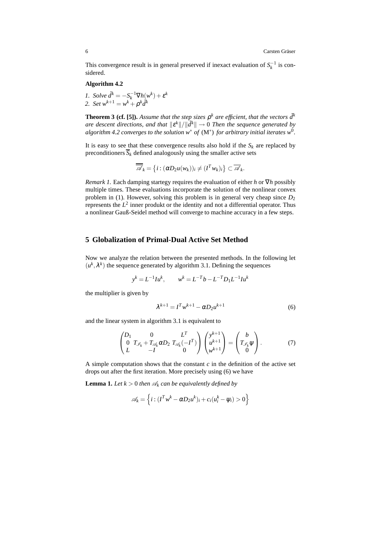This convergence result is in general preserved if inexact evaluation of  $S_k^{-1}$  is considered.

#### **Algorithm 4.2**

*1. Solve*  $\tilde{d}^k = -S_k^{-1} \nabla h(w^k) + \varepsilon^k$ *2. Set*  $w^{k+1} = w^k + \rho^k \tilde{d}^k$ 

**Theorem 3 (cf. [5]).** Assume that the step sizes  $\rho^k$  are efficient, that the vectors  $\tilde{d}^k$ *are descent directions, and that*  $\|\varepsilon^k\|/\|\tilde{d}^k\| \to 0$  *Then the sequence generated by algorithm 4.2 converges to the solution w*<sup>∗</sup> *of* (M<sup>∗</sup> ) *for arbitrary initial iterates w*<sup>0</sup> *.*

It is easy to see that these convergence results also hold if the  $S_k$  are replaced by preconditioners  $\overline{S}_k$  defined analogously using the smaller active sets

$$
\overline{\mathscr{A}}_k = \{i : (\alpha D_2 u(w_k))_i \neq (I^T w_k)_i\} \subset \overline{\mathscr{A}}_k.
$$

*Remark 1.* Each damping startegy requires the evaluation of either *h* or ∇*h* possibly multiple times. These evaluations incorporate the solution of the nonlinear convex problem in (1). However, solving this problem is in general very cheap since  $D_2$ represents the  $L^2$  inner produkt or the identity and not a differential operator. Thus a nonlinear Gauß-Seidel method will converge to machine accuracy in a few steps.

## **5 Globalization of Primal-Dual Active Set Method**

Now we analyze the relation between the presented methods. In the following let  $(u^k, \lambda^k)$  the sequence generated by algorithm 3.1. Defining the sequences

$$
y^k = L^{-1}Iu^k
$$
,  $w^k = L^{-T}b - L^{-T}D_1L^{-1}Iu^k$ 

the multiplier is given by

$$
\lambda^{k+1} = I^T w^{k+1} - \alpha D_2 u^{k+1}
$$
 (6)

and the linear system in algorithm 3.1 is equivalent to

$$
\begin{pmatrix}\nD_1 & 0 & L^T \\
0 & T_{\mathscr{I}_k} + T_{\mathscr{A}_k} \alpha D_2 & T_{\mathscr{A}_k} (-I^T) \\
L & -I & 0\n\end{pmatrix}\n\begin{pmatrix}\ny^{k+1} \\
u^{k+1} \\
w^{k+1}\n\end{pmatrix} =\n\begin{pmatrix}\nb \\
T_{\mathscr{I}_k}\psi \\
0\n\end{pmatrix}.
$$
\n(7)

A simple computation shows that the constant  $c$  in the definition of the active set drops out after the first iteration. More precisely using (6) we have

**Lemma 1.** Let  $k > 0$  then  $\mathcal{A}_k$  can be equivalently defined by

$$
\mathscr{A}_k = \left\{ i : (I^T w^k - \alpha D_2 u^k)_i + c_i (u_i^k - \psi_i) > 0 \right\}
$$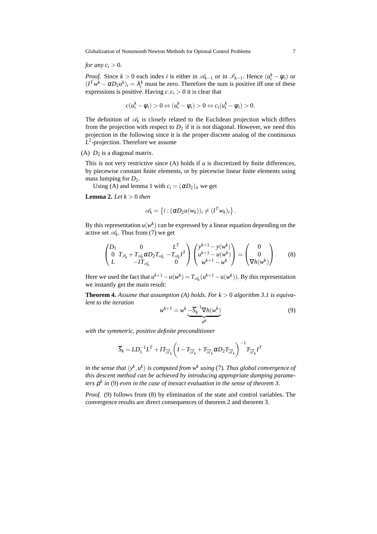Globalization of Nonsmooth Newton Methods for Optimal Control Problems 7

*for any*  $c_i > 0$ *.* 

*Proof.* Since  $k > 0$  each index *i* is either in  $\mathcal{A}_{k-1}$  or in  $\mathcal{I}_{k-1}$ . Hence  $(u_i^k - \psi_i)$  or  $(I^T w^k - \alpha D_2 u^k)_i = \lambda_i^k$  must be zero. Therefore the sum is positive iff one of these expressions is positive. Having  $c, c_i > 0$  it is clear that

$$
c(u_i^k - \psi_i) > 0 \Leftrightarrow (u_i^k - \psi_i) > 0 \Leftrightarrow c_i(u_i^k - \psi_i) > 0.
$$

The definition of  $\mathcal{A}_k$  is closely related to the Euclidean projection which differs from the projection with respect to  $D_2$  if it is not diagonal. However, we need this projection in the following since it is the proper discrete analog of the continuous  $L^2$ -projection. Therefore we assume

(A)  $D_2$  is a diagonal matrix.

This is not very restrictive since (A) holds if *u* is discretized by finite differences, by piecewise constant finite elements, or by piecewise linear finite elements using mass lumping for  $D_2$ .

Using (A) and lemma 1 with  $c_i = (\alpha D_2)_{ii}$  we get

**Lemma 2.** *Let*  $k > 0$  *then* 

$$
\mathscr{A}_k = \left\{ i : (\alpha D_2 u(w_k))_i \neq (I^T w_k)_i \right\}
$$

By this representation  $u(w^k)$  can be expressed by a linear equation depending on the active set  $\mathcal{A}_k$ . Thus from (7) we get

$$
\begin{pmatrix} D_1 & 0 & L^T \\ 0 & T_{\mathscr{I}_k} + T_{\mathscr{A}_k} \alpha D_2 T_{\mathscr{A}_k} - T_{\mathscr{A}_k} I^T \\ L & -IT_{\mathscr{A}_k} & 0 \end{pmatrix} \begin{pmatrix} y^{k+1} - y(w^k) \\ u^{k+1} - u(w^k) \\ w^{k+1} - w^k \end{pmatrix} = \begin{pmatrix} 0 \\ 0 \\ \nabla h(w^k) \end{pmatrix}.
$$
 (8)

Here we used the fact that  $u^{k+1} - u(w^k) = T_{\mathscr{A}_k}(u^{k+1} - u(w^k))$ . By this representation we instantly get the main result:

**Theorem 4.** Assume that assumption (A) holds. For  $k > 0$  algorithm 3.1 is equiva*lent to the iteration*

$$
w^{k+1} = w^k \underbrace{-\overline{S}_k^{-1} \nabla h(w^k)}_{d^k} \tag{9}
$$

.

*with the symmetric, positive definite preconditioner*

$$
\overline{S}_k = LD_1^{-1}L^T + IT_{\overline{\mathscr{A}}_k} \left( I - T_{\overline{\mathscr{A}}_k} + T_{\overline{\mathscr{A}}_k} \alpha D_2 T_{\overline{\mathscr{A}}_k} \right)^{-1} T_{\overline{\mathscr{A}}_k} I^T
$$

in the sense that  $(y^k, u^k)$  is computed from  $w^k$  using (7). Thus global convergence of *this descent method can be achieved by introducing appropriate damping parameters* ρ *k in* (9) *even in the case of inexact evaluation in the sense of theorem 3.*

*Proof.* (9) follows from (8) by elimination of the state and control variables. The convergence results are direct consequences of theorem 2 and theorem 3.